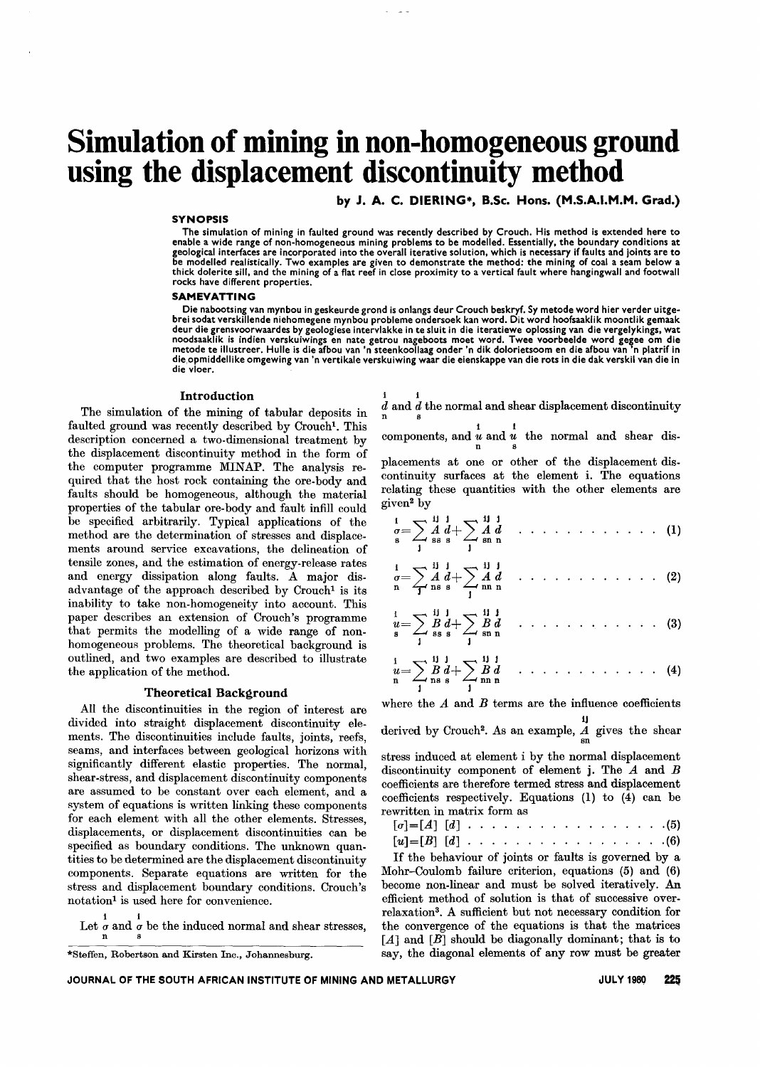# **Simulation of mining in non-homogeneous ground using the displacement discontinuity method**

by J. A. C. DIERING\*, B.Sc. Hons. (M.S.A.I.M.M. Grad.)

#### **SYNOPSIS**

The simulation of mining in faulted ground was recently described by Crouch. His method is extended here to enable a wide range of non-homogeneous mining problems to be modelled. Essentially, the boundary conditions at geological interfaces are incorporated into the overall iterative solution, which is necessary if faults and joints are to be modelled realistically. Two examples are given to demonstrate the method: the mining of coal a seam below a<br>thick dolerite sill, and the mining of a flat reef in close proximity to a vertical fault where hangingwall and rocks have different properties.

#### SAMEVATTING

Die nabootsing van mynbou in geskeurde grond is onlangs deur Crouch beskryf. Sy metode word hier verder uitgebrei sodat verskillende niehomegene mynbou probleme ondersoek kan word. Dit word hoofsaaklik moontlik gemaak deur die grensvoorwaardes by geologiese intervlakke in te sluit in die iteratiewe oplossing van die vergelykings, wat<br>noodsaaklik is indien verskuiwings en nate getrou nageboots moet word. Twee voorbeelde word gegee om die die vloer.

#### Introduction

The simulation of the mining of tabular deposits in faulted ground was recently described by Crouch<sup>1</sup>. This description concerned a two-dimensional treatment by the displacement discontinuity method in the form of the computer programme MINAP. The analysis required that the host rock containing the ore-body and faults should be homogeneous, although the material properties of the tabular ore-body and fault infill could be specified arbitrarily. Typical applications of the method are the determination of stresses and displacements around service excavations, the delineation of tensile zones, and the estimation of energy-release rates and energy dissipation along faults. A major disadvantage of the approach described by Crouch<sup>1</sup> is its inability to take non-homogeneity into account. This paper describes an extension of Crouch's programme that permits the modelling of a wide range of nonhomogeneous problems. The theoretical background is outlined, and two examples are described to illustrate the application of the method.

### Theoretical Background

All the discontinuities in the region of interest are divided into straight displacement discontinuity elements. The discontinuities include faults, joints, reefs, seams, and interfaces between geological horizons with significantly different elastic properties. The normal, shear-stress, and displacement discontinuity components are assumed to be constant over each element, and a system of equations is written linking these components for each element with all the other elements. Stresses, displacements, or displacement discontinuities can be specified as boundary conditions. The unknown quantities to be determined are the displacement discontinuity components. Separate equations are written for the stress and displacement boundary conditions. Crouch's notation<sup>1</sup> is used here for convenience.

1 1 Let  $\sigma$  and  $\sigma$  be the induced normal and shear stresses

1 1  $d$  and  $d$  the normal and shear displacement discontinuity

 $\sum_{n=1}^{\infty}$  and  $\sum_{n=1}^{\infty}$  and  $\sum_{n=1}^{\infty}$  the normal and shear dis-

placements at one or other of the displacement discontinuity surfaces at the element i. The equations relating these quantities with the other elements are given2 by

$$
\frac{1}{s} = \sum_{s} \frac{1}{s} \frac{1}{s} \frac{1}{s} + \sum_{s} \frac{1}{s} \frac{1}{s} \frac{1}{s} \dots \dots \dots \dots \dots \dots \dots \quad (1)
$$

$$
\sigma = \sum_{n=1}^{i} \frac{A}{ns} \frac{d}{s} + \sum_{n=1}^{i} \frac{A}{n} \frac{d}{n} \dots \dots \dots \dots \dots \dots \dots \tag{2}
$$

$$
\frac{1}{u} = \sum_{s} \frac{11}{s} \frac{1}{s} + \sum_{s} \frac{11}{s} \frac{1}{s} + \sum_{s} \frac{11}{s} \frac{1}{s} + \sum_{s} \frac{11}{s} \frac{1}{s} + \sum_{s} \frac{11}{s} \frac{1}{s} + \sum_{s} \frac{11}{s} \frac{1}{s} + \sum_{s} \frac{11}{s} \frac{1}{s} + \sum_{s} \frac{11}{s} \frac{1}{s} + \sum_{s} \frac{1}{s} \frac{1}{s} + \sum_{s} \frac{1}{s} \frac{1}{s} + \sum_{s} \frac{1}{s} \frac{1}{s} + \sum_{s} \frac{1}{s} \frac{1}{s} + \sum_{s} \frac{1}{s} \frac{1}{s} + \sum_{s} \frac{1}{s} \frac{1}{s} + \sum_{s} \frac{1}{s} \frac{1}{s} + \sum_{s} \frac{1}{s} \frac{1}{s} + \sum_{s} \frac{1}{s} \frac{1}{s} + \sum_{s} \frac{1}{s} \frac{1}{s} + \sum_{s} \frac{1}{s} \frac{1}{s} + \sum_{s} \frac{1}{s} \frac{1}{s} + \sum_{s} \frac{1}{s} \frac{1}{s} + \sum_{s} \frac{1}{s} \frac{1}{s} + \sum_{s} \frac{1}{s} \frac{1}{s} + \sum_{s} \frac{1}{s} \frac{1}{s} + \sum_{s} \frac{1}{s} \frac{1}{s} + \sum_{s} \frac{1}{s} \frac{1}{s} + \sum_{s} \frac{1}{s} \frac{1}{s} + \sum_{s} \frac{1}{s} \frac{1}{s} + \sum_{s} \frac{1}{s} \frac{1}{s} + \sum_{s} \frac{1}{s} \frac{1}{s} + \sum_{s} \frac{1}{s} \frac{1}{s} + \sum_{s} \frac{1}{s} \frac{1}{s} + \sum_{s} \frac{1}{s} \frac{1}{s} + \sum_{s} \frac{1}{s} \frac{1}{s} + \sum_{s} \frac{1}{s} \frac{1}{s} + \sum_{s} \frac{1}{s} + \sum_{s} \frac{1}{s} + \sum_{s} \frac{1}{s} + \sum_{s}
$$

$$
u = \sum_{s} B d + \sum_{s \text{sn n}} B d \quad \dots \quad (3)
$$
  
\n
$$
u = \sum_{n} B d + \sum_{s \text{sn n}} B d \quad \dots \quad (4)
$$
  
\n
$$
u = \sum_{n} B d + \sum_{s \text{sn n}} B d \quad \dots \quad (4)
$$

where the  $A$  and  $B$  terms are the influence coefficients

IJ derived by Crouch<sup>2</sup>. As an example,  $\frac{A}{\text{sn}}$  gives the shear

stress induced at element i by the normal displacement discontinuity component of element j. The *A* and *B* coefficients are therefore termed stress and displacement coefficients respectively. Equations (1) to (4) can be rewritten in matrix form as

 $[\sigma]=[A]$ [*d*]  $\ldots$   $\ldots$   $\ldots$   $\ldots$   $\ldots$   $\ldots$   $\ldots$   $(5)$  $[u]=[B][d]$   $\cdots$   $\cdots$   $\cdots$   $\cdots$   $\cdots$   $\cdots$   $\cdots$   $\cdots$   $\cdots$   $\cdots$   $\cdots$   $\cdots$ 

If the behaviour of joints or faults is governed by a Mohr-Coulomb failure criterion, equations (5) and (6) become non-linear and must be solved iteratively. An efficient method of solution is that of successive overrelaxation3. A sufficient but not necessary condition for the convergence of the equations is that the matrices *[A]* and *[B]* should be diagonally dominant; that is to say, the diagonal elements of any row must be greater

<sup>\*</sup>Steffen, Robertson and Kirsten Inc., Johannesburg.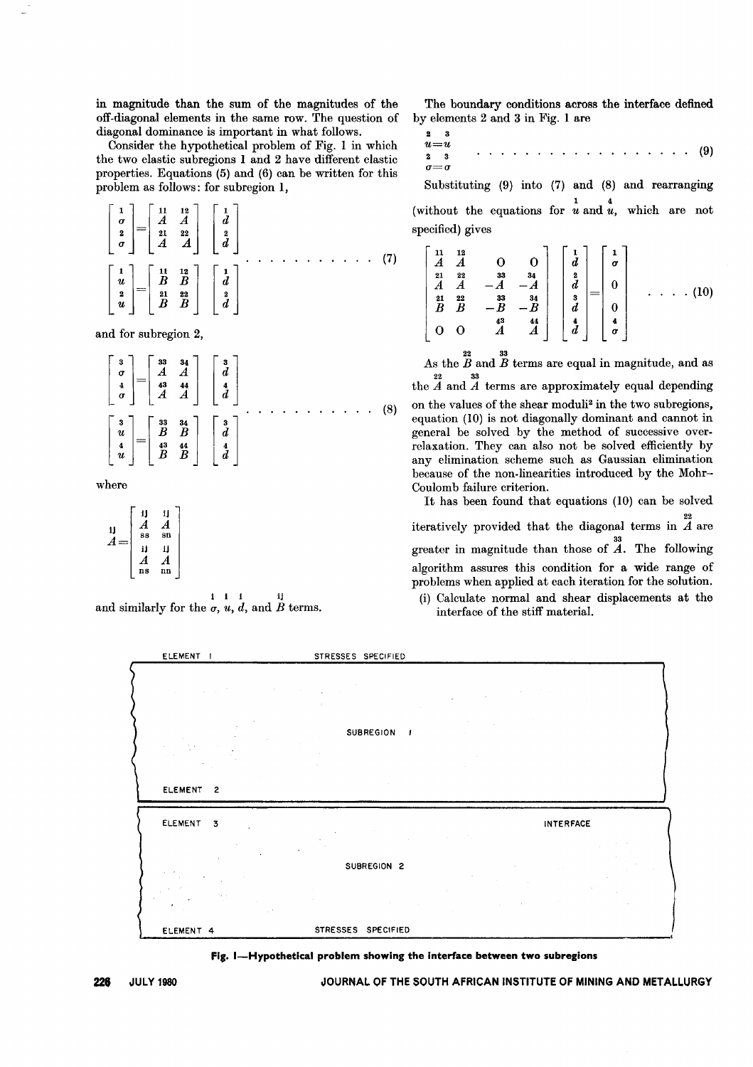in magnitude than the sum of the magnitudes of the off-diagonal elements in the same row. The question of diagonal dominance is important in what follows.

Consider the hypothetical problem of Fig. 1 in which the two elastic subregions 1 and 2 have different elastic properties. Equations (5) and (6) can be written for this problem as follows: for subregion 1,

$$
\begin{bmatrix} 1 \\ \sigma \\ 2 \\ \sigma \end{bmatrix} = \begin{bmatrix} 11 & 12 \\ A & A \\ 21 & 22 \\ A & A \end{bmatrix} \begin{bmatrix} 1 \\ d \\ 2 \\ d \end{bmatrix} \qquad \qquad (7)
$$
\n
$$
\begin{bmatrix} 1 \\ u \\ u \\ u \end{bmatrix} = \begin{bmatrix} 11 & 12 \\ B & B \\ B & B \\ B & B \end{bmatrix} \begin{bmatrix} 1 \\ d \\ d \end{bmatrix}
$$

and for subregion 2,

$$
\begin{bmatrix} 3 \\ \sigma \\ 4 \\ \sigma \end{bmatrix} = \begin{bmatrix} 33 & 34 \\ A & A \\ A & 3 & 44 \\ A & A & A \end{bmatrix} \begin{bmatrix} 3 \\ d \\ 4 \\ d \end{bmatrix}
$$
\n
$$
\begin{bmatrix} 3 \\ u \\ u \\ u \end{bmatrix} = \begin{bmatrix} 33 & 34 \\ B & B \\ B & B & A \end{bmatrix} \begin{bmatrix} 3 \\ d \\ d \end{bmatrix}
$$
\n
$$
\begin{bmatrix} 3 \\ u \\ u \end{bmatrix} = \begin{bmatrix} 33 & 34 \\ B & B \\ B & B & A \end{bmatrix} \begin{bmatrix} 3 \\ d \\ d \end{bmatrix}
$$
\n(8)

where

$$
A = \begin{bmatrix} \n\mathbf{i} & \mathbf{i} & \mathbf{i} \\ \nA & A & \mathbf{i} \\ \n\mathbf{s} & \mathbf{s} & \mathbf{s} \\ \n\mathbf{i} & \mathbf{i} & \mathbf{i} \\ \nA & A & \mathbf{A} \\ \n\mathbf{n} & \mathbf{n} & \mathbf{n} \n\end{bmatrix}
$$

i i i ij and similarly for the  $\sigma$ ,  $u$ ,  $d$ , and  $\dot{B}$  terms.

The boundary conditions across the interface defined by elements 2 and 3 in Fig. 1 are

2 3 *U=u* 2 3 *a=a* . . . . . . . . . . . . . . . . . . (9)

Substituting (9) into (7) and (8) and rearranging (without the equations for  $\frac{1}{u}$  and  $\frac{4}{u}$ , which are no specified) gives

$$
\begin{bmatrix}\n1 & 12 \\
A & A & 0 & 0 \\
21 & 22 & 33 & 34 \\
A & A & -A & -A \\
21 & 22 & 33 & 34 \\
B & B & -B & -B \\
0 & 0 & A & A\n\end{bmatrix}\n\begin{bmatrix}\n1 \\
d \\
3 \\
3 \\
d \\
d\n\end{bmatrix} =\n\begin{bmatrix}\n1 \\
\sigma \\
0 \\
0 \\
0 \\
d\n\end{bmatrix} \quad \dots \quad (10)
$$

As the  $B$  and  $B$  terms are equal in magnitude, and as  $\frac{22}{24}$  and  $\overline{A}$  terms are approximately equal depending

on the values of the shear moduli2 in the two subregions, equation (10) is not diagonally dominant and cannot in general be solved by the method of successive overrelaxation. They can also not be solved efficiently by any elimination scheme such as Gaussian elimination because of the non-linearities introduced by the Mohr-Coulomb failure criterion.

It has been found that equations (10) can be solved 22 iteratively provided that the diagonal terms in *A* are 33 greater in magnitude than those of *A.* The following algorithm assures this condition for a wide range of problems when applied at each iteration for the solution.

(i) Calculate normal and shear displacements at the interface of the stiff material.

| ELEMENT 1                                                                                                                                                                                                                                                                                                    | STRESSES SPECIFIED                                                                                                                                                                                                                                                                                                                                                                                                                                                                                                                                                              |
|--------------------------------------------------------------------------------------------------------------------------------------------------------------------------------------------------------------------------------------------------------------------------------------------------------------|---------------------------------------------------------------------------------------------------------------------------------------------------------------------------------------------------------------------------------------------------------------------------------------------------------------------------------------------------------------------------------------------------------------------------------------------------------------------------------------------------------------------------------------------------------------------------------|
| and the control of the control of the control of the control of                                                                                                                                                                                                                                              | $\label{eq:2.1} \frac{1}{\sqrt{2\pi}}\int_{\mathbb{R}^3}\frac{1}{\sqrt{2\pi}}\int_{\mathbb{R}^3}\frac{1}{\sqrt{2\pi}}\int_{\mathbb{R}^3}\frac{1}{\sqrt{2\pi}}\int_{\mathbb{R}^3}\frac{1}{\sqrt{2\pi}}\int_{\mathbb{R}^3}\frac{1}{\sqrt{2\pi}}\int_{\mathbb{R}^3}\frac{1}{\sqrt{2\pi}}\int_{\mathbb{R}^3}\frac{1}{\sqrt{2\pi}}\int_{\mathbb{R}^3}\frac{1}{\sqrt{2\pi}}\int_{\mathbb{R}^3}\frac{1$<br><b>Contractor</b>                                                                                                                                                           |
| <b>Contractor</b>                                                                                                                                                                                                                                                                                            | $\label{eq:2.1} \mathcal{L}_{\mathcal{A}}(\mathcal{A}) = \mathcal{L}_{\mathcal{A}}(\mathcal{A}) = \mathcal{L}_{\mathcal{A}}(\mathcal{A}) = \mathcal{L}_{\mathcal{A}}(\mathcal{A})$<br>SUBREGION /<br>and the state of the state of<br><b>Contractor</b>                                                                                                                                                                                                                                                                                                                         |
| ELEMENT <sub>2</sub>                                                                                                                                                                                                                                                                                         | <b>Contractor</b>                                                                                                                                                                                                                                                                                                                                                                                                                                                                                                                                                               |
| ELEMENT 3<br>$\sim 10^{-11}$ km $^{-1}$<br>$\sim 10^{-10}$                                                                                                                                                                                                                                                   | INTERFACE<br>and the control of<br><b>Contract</b><br>the control of the control of the control of the                                                                                                                                                                                                                                                                                                                                                                                                                                                                          |
| $\mathcal{L}_{\rm{max}}$ and $\mathcal{L}_{\rm{max}}$<br>$\sim$<br>$\label{eq:2.1} \mathcal{F}^{\mathcal{M}}_{\mathcal{M}}(t) = \mathcal{F}^{\mathcal{M}}_{\mathcal{M}}(t) = \mathcal{F}^{\mathcal{M}}_{\mathcal{M}}(t) = \mathcal{F}^{\mathcal{M}}_{\mathcal{M}}(t)$<br>٠<br>$\sim 10^7$<br><b>Contract</b> | SUBREGION 2<br>and the state of the control of the state<br>$\mathcal{F}^{\mathcal{A}}_{\mathcal{A}}$ , where $\mathcal{F}^{\mathcal{A}}_{\mathcal{A}}$ , where $\mathcal{F}^{\mathcal{A}}_{\mathcal{A}}$<br>$\mathcal{L}_{\text{max}}$ and $\mathcal{L}_{\text{max}}$<br>the state of the control of<br>$\sim$<br>$\mathcal{L}^{\mathcal{L}}(\mathcal{L}^{\mathcal{L}})$ and $\mathcal{L}^{\mathcal{L}}(\mathcal{L}^{\mathcal{L}})$ and $\mathcal{L}^{\mathcal{L}}(\mathcal{L}^{\mathcal{L}})$ and $\mathcal{L}^{\mathcal{L}}(\mathcal{L}^{\mathcal{L}})$<br><b>Contractor</b> |
| ELEMENT 4                                                                                                                                                                                                                                                                                                    | STRESSES SPECIFIED                                                                                                                                                                                                                                                                                                                                                                                                                                                                                                                                                              |



**226 JULY 1980 JOURNAL OF THE SOUTH AFRICAN INSTITUTE OF MINING AND METALLURGY**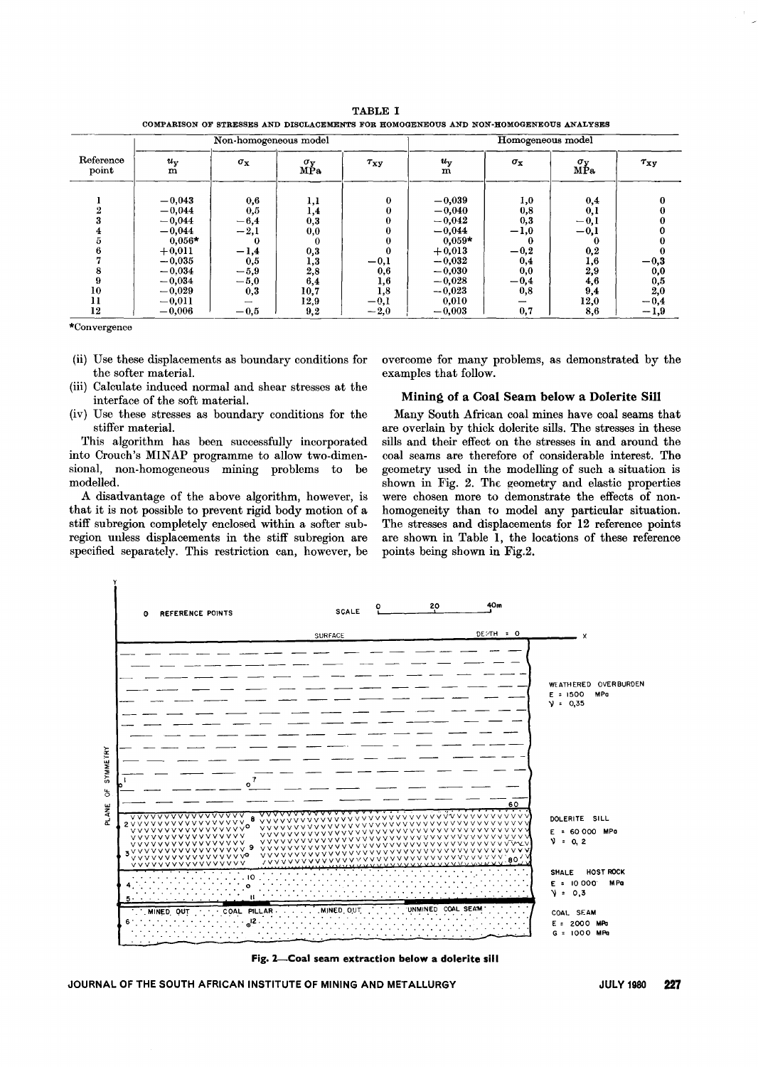| <b>TABLE</b>                                                                         |  |  |  |  |  |  |  |  |  |
|--------------------------------------------------------------------------------------|--|--|--|--|--|--|--|--|--|
| COMPARISON OF STRESSES AND DISCLACEMENTS FOR HOMOGENEOUS AND NON-HOMOGENEOUS ANALYSE |  |  |  |  |  |  |  |  |  |

|                    | Non-homogeneous model                                                                        |                                                                          |                                                         |                         | Homogeneous model                                                                            |                                                                    |                                                               |                      |
|--------------------|----------------------------------------------------------------------------------------------|--------------------------------------------------------------------------|---------------------------------------------------------|-------------------------|----------------------------------------------------------------------------------------------|--------------------------------------------------------------------|---------------------------------------------------------------|----------------------|
| Reference<br>point | $u_{\rm v}$<br>$\mathbf m$                                                                   | $\sigma_{\bf x}$                                                         | $\sigma_{\rm V}$<br>МР́а                                | $\tau_{\rm xy}$         | $u_{\rm y}$<br>${\bf m}$                                                                     | $\sigma_{\bf x}$                                                   | $\overset{\sigma_y}{\mathtt{MPa}}$                            | $\tau_{xy}$          |
|                    | $-0,043$<br>$-0,044$<br>$-0,044$<br>$-0,044$<br>$0,056*$<br>$+0,011$<br>$-0,035$<br>$-0,034$ | 0,6<br>$_{0,5}$<br>$-6,4$<br>$^{ - 2,1}$<br>$-1,4$<br>$_{0,5}$<br>$-5,9$ | 1,1<br>1,4<br>0,3<br>$_{0,0}$<br>0<br>0,3<br>1,3<br>2,8 | 0<br>$-0,1$<br>$_{0,6}$ | $-0,039$<br>$-0,040$<br>$-0,042$<br>$-0,044$<br>$0,059*$<br>$+0,013$<br>$-0,032$<br>$-0,030$ | 1,0<br>0,8<br>0,3<br>$^{-1,0}$<br>$\bf{0}$<br>$-0,2$<br>0,4<br>0,0 | 0,4<br>0,1<br>$-0,1$<br>$-0,1$<br>0<br>0,2<br>$_{1,6}$<br>2,9 | $^{\rm -0,3}$<br>0,0 |
| 10                 | $-0,034$<br>$-0,029$                                                                         | $-5,0$                                                                   | 6,4                                                     | 1,6                     | $-0,028$<br>$-0,023$                                                                         | $-0,4$                                                             | 4,6                                                           | $_{2,0}^{0,5}$       |
| 11                 | $-0,011$                                                                                     | 0,3                                                                      | 10,7<br>12,9                                            | 1,8<br>$-0,1$           | 0,010                                                                                        | 0,8                                                                | 9,4<br>12,0                                                   | $-0,4$               |
| 12                 | $-0,006$                                                                                     | $-0,5$                                                                   | 9,2                                                     | $-2,0$                  | $-0,003$                                                                                     | 0,7                                                                | 8,6                                                           | $-1,9$               |

\*Convergence

- (ii) Use these displacements as boundary conditions for the softer material.
- (iii) Calculate induced normal and shear stresses at the interface of the soft material.
- (iv) Use these stresses as boundary conditions for the stiffer material.

This algorithm has been successfully incorporated into Crouch's MINAP programme to allow two-dimensional, non-homogeneous mining problems to be modelled.

A disadvantage of the above algorithm, however, is that it is not possible to prevent rigid body motion of a stiff subregion completely enclosed within a softer subregion uuless displacements in the stiff subregion are specified separately. This restriction can, however, be

overcome for many problems, as demonstrated by the examples that follow.

# Mining of a Coal Seam below a Dolerite Sill

Many South African coal mines have coal seams that are overlain by thick dolerite sills. The stresses in these sills and their effect on the stresses in and around the coal seams are therefore of considerable interest. The geometry used in the modelling of such a situation is shown in Fig. 2. The geometry and elastic properties were chosen more to demonstrate the effects of nonhomogeneity than to model any particular situation. The stresses and displacements for 12 reference points are shown in Table 1, the locations of these reference points being shown in Fig.2.



Fig. 2-Coal seam extraction below a dolerite sill